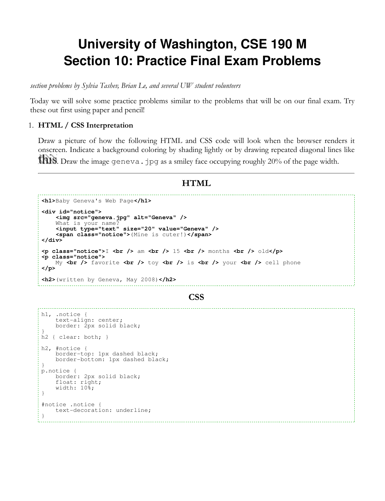# **University of Washington, CSE 190 M Section 10: Practice Final Exam Problems**

section problems by Sylvia Tashev, Brian Le, and several UW student volunteers

Today we will solve some practice problems similar to the problems that will be on our final exam. Try these out first using paper and pencil!

## 1. HTML / CSS Interpretation

Draw a picture of how the following HTML and CSS code will look when the browser renders it onscreen. Indicate a background coloring by shading lightly or by drawing repeated diagonal lines like **1918**. Draw the image geneva. jpg as a smiley face occupying roughly 20% of the page width.

## HTML

```
<h1>Baby Geneva's Web Page</h1>
<div id="notice">
     <img src="geneva.jpg" alt="Geneva" />
    What is your name
     <input type="text" size="20" value="Geneva" />
     <span class="notice">(Mine is cuter!)</span>
</div>
<p class="notice">I <br /> am <br /> 15 <br /> months <br /> old</p>
<p class="notice">
   My <br />
favorite <br />
\frac{1}{2} toy <br />
\frac{1}{2} is <br />
\frac{1}{2} your <br />
\frac{1}{2} cell phone
</p>
<h2>(written by Geneva, May 2008)</h2>
```
#### **CSS**

```
h1, .notice {
     text-align: center;
    border: 2px solid black;
\begin{array}{c} \n\end{array}h2 { clear: both; }
h2, #notice {
     border-top: 1px dashed black;
     border-bottom: 1px dashed black;
}
p.notice {
     border: 2px solid black;
     float: right;
    width: 10%;
}
#notice .notice {
     text-decoration: underline;
}
```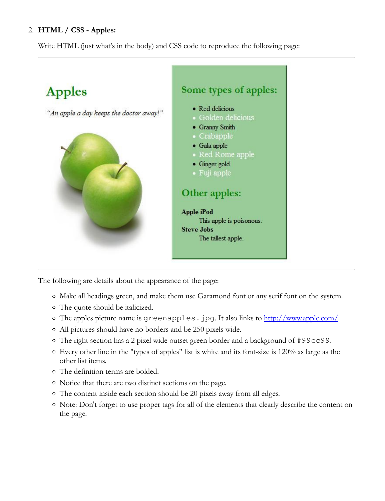## 2. HTML / CSS - Apples:

Write HTML (just what's in the body) and CSS code to reproduce the following page:



The following are details about the appearance of the page:

- Make all headings green, and make them use Garamond font or any serif font on the system.
- The quote should be italicized.
- The apples picture name is greenapples.jpg. It also links to http://www.apple.com/.
- All pictures should have no borders and be 250 pixels wide.
- $\circ$  The right section has a 2 pixel wide outset green border and a background of #99cc99.
- Every other line in the "types of apples" list is white and its font-size is 120% as large as the other list items.
- The definition terms are bolded.
- Notice that there are two distinct sections on the page.
- The content inside each section should be 20 pixels away from all edges.
- Note: Don't forget to use proper tags for all of the elements that clearly describe the content on the page.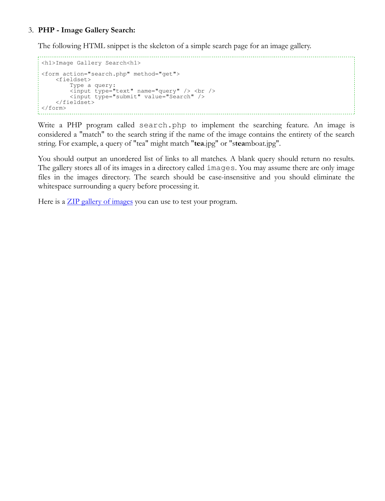## PHP - Image Gallery Search: 3.

The following HTML snippet is the skeleton of a simple search page for an image gallery.

```
<h1>Image Gallery Search<h1>
<form action="search.php" method="get">
     <fieldset>
         Type a query:
<input type="text" name="query" /> <br /><input type="submit" value="Search" />
     </fieldset>
\langle/form\rangle
```
Write a PHP program called search.php to implement the searching feature. An image is considered a "match" to the search string if the name of the image contains the entirety of the search string. For example, a query of "tea" might match "tea.jpg" or "steamboat.jpg".

You should output an unordered list of links to all matches. A blank query should return no results. The gallery stores all of its images in a directory called images. You may assume there are only image files in the images directory. The search should be case-insensitive and you should eliminate the whitespace surrounding a query before processing it.

Here is a **ZIP** gallery of images you can use to test your program.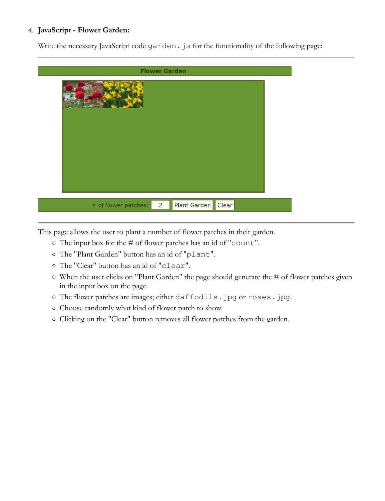## JavaScript - Flower Garden: 4.

Write the necessary JavaScript code garden. js for the functionality of the following page:

| <b>Flower Garden</b>                                         |  |
|--------------------------------------------------------------|--|
|                                                              |  |
|                                                              |  |
| Plant Garden Clear<br># of flower patches:<br>$\overline{2}$ |  |

This page allows the user to plant a number of flower patches in their garden.

- The input box for the # of flower patches has an id of "count".
- The "Plant Garden" button has an id of "plant".
- The "Clear" button has an id of "clear".
- When the user clicks on "Plant Garden" the page should generate the # of flower patches given in the input box on the page.
- The flower patches are images; either daffodils.jpg or roses.jpg.
- Choose randomly what kind of flower patch to show.
- o Clicking on the "Clear" button removes all flower patches from the garden.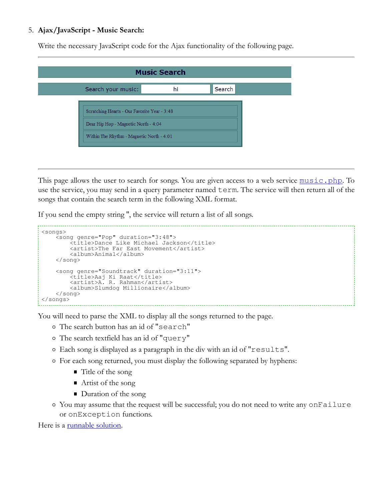## Ajax/JavaScript - Music Search: 5.

Write the necessary JavaScript code for the Ajax functionality of the following page.

|                                                                                      | <b>Music Search</b> |        |
|--------------------------------------------------------------------------------------|---------------------|--------|
| Search your music:                                                                   | hi                  | Search |
| Scratching Hearts - Our Favorite Year - 3:48<br>Dear Hip Hop - Magnetic North - 4:04 |                     |        |
| Within The Rhythm - Magnetic North - 4:01                                            |                     |        |

This page allows the user to search for songs. You are given access to a web service  $\frac{music, php}{$ . To use the service, you may send in a query parameter named term. The service will then return all of the songs that contain the search term in the following XML format.

If you send the empty string '', the service will return a list of all songs.

```
<songs>
 <song genre="Pop" duration="3:48">
 <title>Dance Like Michael Jackson</title>
           <artist>The Far East Movement</artist>
           <album>Animal</album>
      </song>
 <song genre="Soundtrack" duration="3:11">
 <title>Aaj Ki Raat</title>
           <artist>A. R. Rahman</artist>
           <album>Slumdog Millionaire</album>
      </song>
</songs>
```
You will need to parse the XML to display all the songs returned to the page.

- The search button has an id of "search"
- The search textfield has an id of "query"
- Each song is displayed as a paragraph in the div with an id of "results".
- For each song returned, you must display the following separated by hyphens:
	- Title of the song
	- Artist of the song
	- Duration of the song
- You may assume that the request will be successful; you do not need to write any onFailure or onException functions.

Here is a runnable solution.